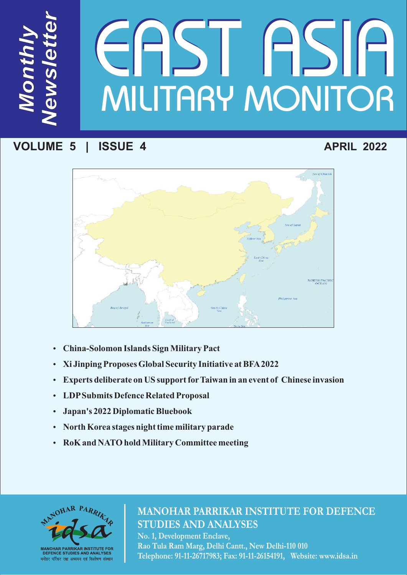# *ws le te <sup>r</sup>* MILITARY MONITOR **JASIA**

# **VOLUME 5 | ISSUE 4**

*M*

*N*

*e*

*t*

*on*

*th*

*ly* 

# **APRIL 2022**



- 
- ??**China-Solomon Islands Sign Military Pact**
- ?**Xi Jinping Proposes Global Security Initiative at BFA2022** ?**Experts deliberate on US support forTaiwan in an event of Chinese invasion**
- ?**LDPSubmits Defence Related Proposal**
- 
- **North Korea stages night time military parade**
- ?**North Korea stages night time military parade RoK and NATO hold Military Committee meeting**



# **MANOHAR PARRIKAR INSTITUTE FOR DEFENCE STUDIES AND ANALYSES**

**No. 1, Development Enclave, Rao Tula Ram Marg, Delhi Cantt., New Delhi-110 010 Telephone: 91-11-26717983; Fax: 91-11-26154191, Website: www.idsa.in**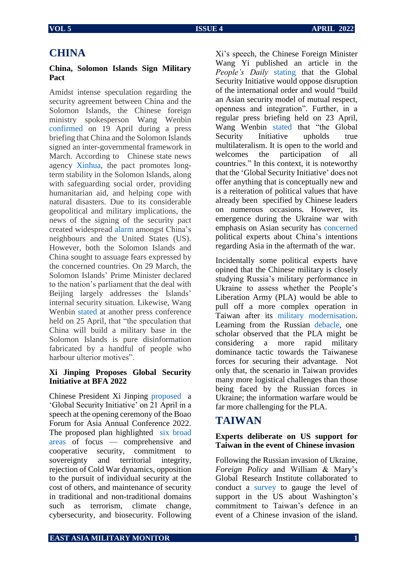## **CHINA**

#### **China, Solomon Islands Sign Military Pact**

Amidst intense speculation regarding the security agreement between China and the Solomon Islands, the Chinese foreign ministry spokesperson Wang Wenbin [confirmed](https://english.news.cn/20220420/35ff8e74edbe40978cd6da3fb522b296/c.html) on 19 April during a press briefing that China and the Solomon Islands signed an inter-governmental framework in March. According to Chinese state news agency [Xinhua,](https://english.news.cn/20220420/35ff8e74edbe40978cd6da3fb522b296/c.html) the pact promotes longterm stability in the Solomon Islands, along with safeguarding social order, providing humanitarian aid, and helping cope with natural disasters. Due to its considerable geopolitical and military implications, the news of the signing of the security pact created widespread [alarm](https://www.aljazeera.com/news/2022/4/20/explainer-solomon-islands-china-security-pact-concern) amongst China's neighbours and the United States (US). However, both the Solomon Islands and China sought to assuage fears expressed by the concerned countries. On 29 March, the Solomon Islands' Prime Minister declared to the nation's parliament that the deal with Beijing largely addresses the Islands' internal security situation. Likewise, Wang Wenbin [stated](https://www.fmprc.gov.cn/mfa_eng/xwfw_665399/s2510_665401/202204/t20220425_10673526.html) at another press conference held on 25 April, that "the speculation that China will build a military base in the Solomon Islands is pure disinformation fabricated by a handful of people who harbour ulterior motives".

#### **Xi Jinping Proposes Global Security Initiative at BFA 2022**

Chinese President Xi Jinping [proposed](http://english.www.gov.cn/news/topnews/202204/21/content_WS6260ce52c6d02e5335329bb3.html#:~:text=BEIJING%20%E2%80%94%20President%20Xi%20Jinping%20proposed,Conference%202022%20on%20April%2021.) a 'Global Security Initiative' on 21 April in a speech at the opening ceremony of the Boao Forum for Asia Annual Conference 2022. The proposed plan highlighted [six broad](https://www.newindianexpress.com/world/2022/apr/21/xi-calls-for-asian-unity-against-outsiders-proposes-global-security-initiative-amidst-ukraine-war-2444803.html)  [areas](https://www.newindianexpress.com/world/2022/apr/21/xi-calls-for-asian-unity-against-outsiders-proposes-global-security-initiative-amidst-ukraine-war-2444803.html) of focus — comprehensive and cooperative security, commitment to sovereignty and territorial integrity, rejection of Cold War dynamics, opposition to the pursuit of individual security at the cost of others, and maintenance of security in traditional and non-traditional domains such as terrorism, climate change, cybersecurity, and biosecurity. Following

Xi's speech, the Chinese Foreign Minister Wang Yi published an article in the *People's Daily* [stating](https://www.thehindu.com/news/international/xis-global-security-initiative-looks-to-counter-quad/article65363978.ece) that the Global Security Initiative would oppose disruption of the international order and would "build an Asian security model of mutual respect, openness and integration". Further, in a regular press briefing held on 23 April, Wang Wenbin [stated](https://english.news.cn/20220423/66511d44ca634963b03dfd5120a115ef/c.html) that "the Global Security Initiative upholds true multilateralism. It is open to the world and welcomes the participation of all countries." In this context, it is noteworthy that the 'Global Security Initiative' does not offer anything that is conceptually new and is a reiteration of political values that have already been specified by Chinese leaders on numerous occasions. However, its emergence during the Ukraine war with emphasis on Asian security has [concerned](https://thediplomat.com/2022/05/chinas-xi-proposes-global-security-initiative/) political experts about China's intentions regarding Asia in the aftermath of the war.

Incidentally some political experts have opined that the Chinese military is closely studying Russia's military performance in Ukraine to assess whether the People's Liberation Army (PLA) would be able to pull off a more complex operation in Taiwan after its [military modernisation.](https://www.military.com/daily-news/2022/04/20/china-looks-learn-russian-failures-ukraine.html) Learning from the Russian [debacle,](https://timesofindia.indiatimes.com/world/europe/russias-ukrainian-quagmire-providing-tough-lessons-for-china/articleshow/91214706.cms) one scholar observed that the PLA might be considering a more rapid military dominance tactic towards the Taiwanese forces for securing their advantage. Not only that, the scenario in Taiwan provides many more logistical challenges than those being faced by the Russian forces in Ukraine; the information warfare would be far more challenging for the PLA.

## **TAIWAN**

#### **Experts deliberate on US support for Taiwan in the event of Chinese invasion**

Following the Russian invasion of Ukraine, *Foreign Policy* and William & Mary's Global Research Institute collaborated to conduct a [survey](https://www.taipeitimes.com/News/taiwan/archives/2022/04/04/2003775990) to gauge the level of support in the US about Washington's commitment to Taiwan's defence in an event of a Chinese invasion of the island.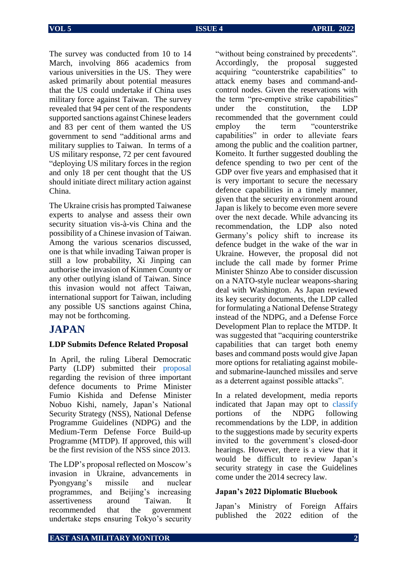The survey was conducted from 10 to 14 March, involving 866 academics from various universities in the US. They were asked primarily about potential measures that the US could undertake if China uses military force against Taiwan. The survey revealed that 94 per cent of the respondents supported sanctions against Chinese leaders and 83 per cent of them wanted the US government to send "additional arms and military supplies to Taiwan. In terms of a US military response, 72 per cent favoured "deploying US military forces in the region and only 18 per cent thought that the US should initiate direct military action against China.

The Ukraine crisis has prompted Taiwanese experts to analyse and assess their own security situation vis-à-vis China and the possibility of a Chinese invasion of Taiwan. Among the various scenarios discussed, one is that while invading Taiwan proper is still a low probability, Xi Jinping can authorise the invasion of Kinmen County or any other outlying island of Taiwan. Since this invasion would not affect Taiwan, international support for Taiwan, including any possible US sanctions against China, may not be forthcoming.

### **JAPAN**

#### **LDP Submits Defence Related Proposal**

In April, the ruling Liberal Democratic Party (LDP) submitted their [proposal](https://www.japantimes.co.jp/news/2022/04/27/national/japan-strike-capability-budget-proposal/) regarding the revision of three important defence documents to Prime Minister Fumio Kishida and Defense Minister Nobuo Kishi, namely, Japan's National Security Strategy (NSS), National Defense Programme Guidelines (NDPG) and the Medium-Term Defense Force Build-up Programme (MTDP). If approved, this will be the first revision of the NSS since 2013.

The LDP's proposal reflected on Moscow's invasion in Ukraine, advancements in Pyongyang's missile and nuclear programmes, and Beijing's increasing assertiveness around Taiwan. It recommended that the government undertake steps ensuring Tokyo's security

"without being constrained by precedents". Accordingly, the proposal suggested acquiring "counterstrike capabilities" to attack enemy bases and command-andcontrol nodes. Given the reservations with the term "pre-emptive strike capabilities" under the constitution, the LDP recommended that the government could employ the term "counterstrike capabilities" in order to alleviate fears among the public and the coalition partner, Komeito. It further suggested doubling the defence spending to two per cent of the GDP over five years and emphasised that it is very important to secure the necessary defence capabilities in a timely manner, given that the security environment around Japan is likely to become even more severe over the next decade. While advancing its recommendation, the LDP also noted Germany's policy shift to increase its defence budget in the wake of the war in Ukraine. However, the proposal did not include the call made by former Prime Minister Shinzo Abe to consider discussion on a NATO-style nuclear weapons-sharing deal with Washington. As Japan reviewed its key security documents, the LDP called for formulating a National Defense Strategy instead of the NDPG, and a Defense Force Development Plan to replace the MTDP. It was suggested that "acquiring counterstrike capabilities that can target both enemy bases and command posts would give Japan more options for retaliating against mobileand submarine-launched missiles and serve as a deterrent against possible attacks".

In a related development, media reports indicated that Japan may opt to [classify](https://english.kyodonews.net/news/2022/05/db8a4d92a19e-japan-eyes-classifying-defense-guidelines-amid-china-russia-threats.html) portions of the NDPG following recommendations by the LDP, in addition to the suggestions made by security experts invited to the government's closed-door hearings. However, there is a view that it would be difficult to review Japan's security strategy in case the Guidelines come under the 2014 secrecy law.

#### **Japan's 2022 Diplomatic Bluebook**

Japan's Ministry of Foreign Affairs published the 2022 edition of the